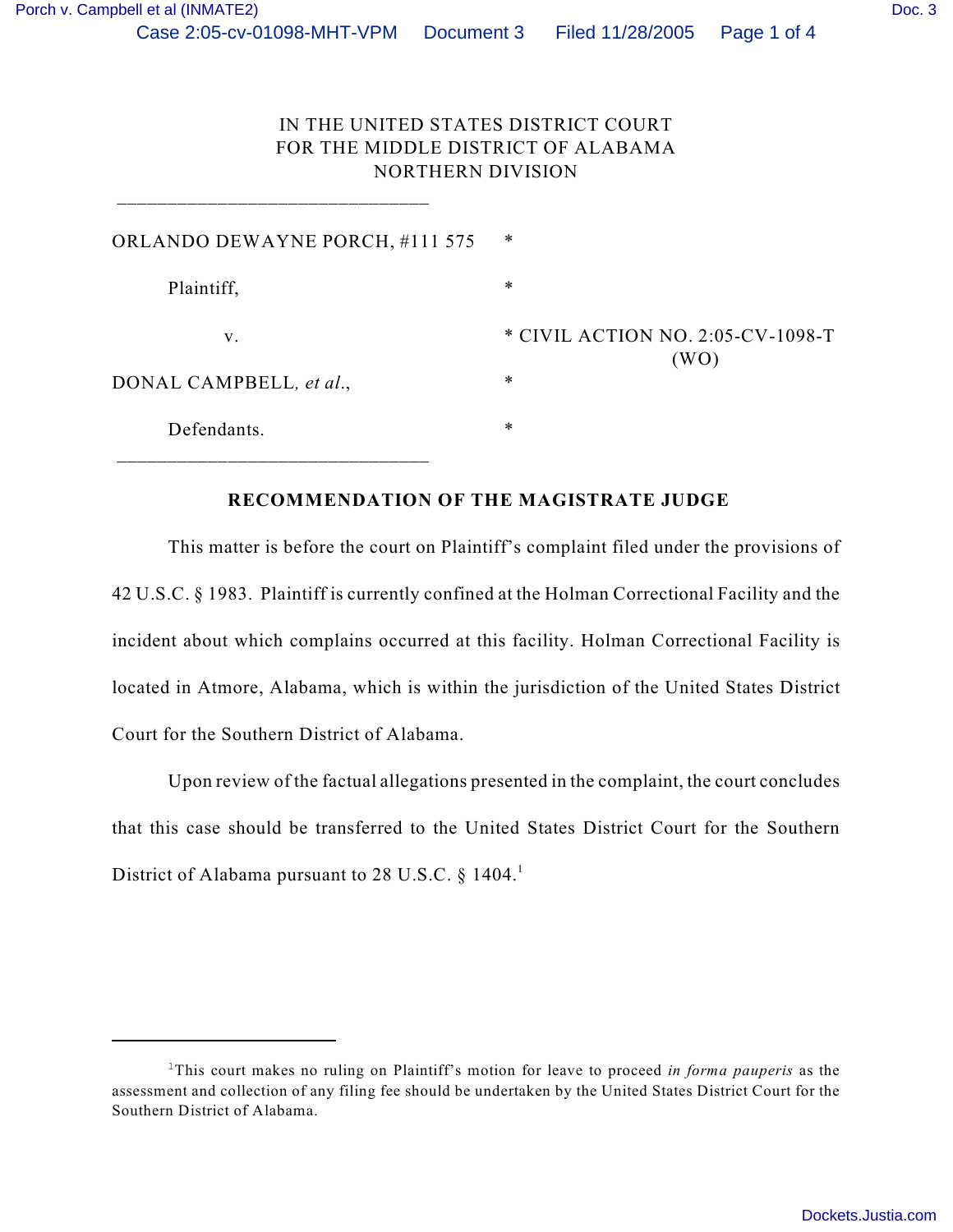\_\_\_\_\_\_\_\_\_\_\_\_\_\_\_\_\_\_\_\_\_\_\_\_\_\_\_\_\_\_\_

| ORLANDO DEWAYNE PORCH, #111 575 | ∗                                         |
|---------------------------------|-------------------------------------------|
| Plaintiff,                      | $\ast$                                    |
| v.                              | * CIVIL ACTION NO. 2:05-CV-1098-T<br>(WO) |
| DONAL CAMPBELL, et al.,         | $\ast$                                    |
| Defendants.                     | $\ast$                                    |

## **RECOMMENDATION OF THE MAGISTRATE JUDGE**

This matter is before the court on Plaintiff's complaint filed under the provisions of 42 U.S.C. § 1983. Plaintiff is currently confined at the Holman Correctional Facility and the incident about which complains occurred at this facility. Holman Correctional Facility is located in Atmore, Alabama, which is within the jurisdiction of the United States District Court for the Southern District of Alabama.

Upon review of the factual allegations presented in the complaint, the court concludes that this case should be transferred to the United States District Court for the Southern District of Alabama pursuant to 28 U.S.C.  $\S 1404$ .<sup>1</sup>

<sup>&</sup>lt;sup>1</sup>This court makes no ruling on Plaintiff's motion for leave to proceed *in forma pauperis* as the assessment and collection of any filing fee should be undertaken by the United States District Court for the Southern District of Alabama.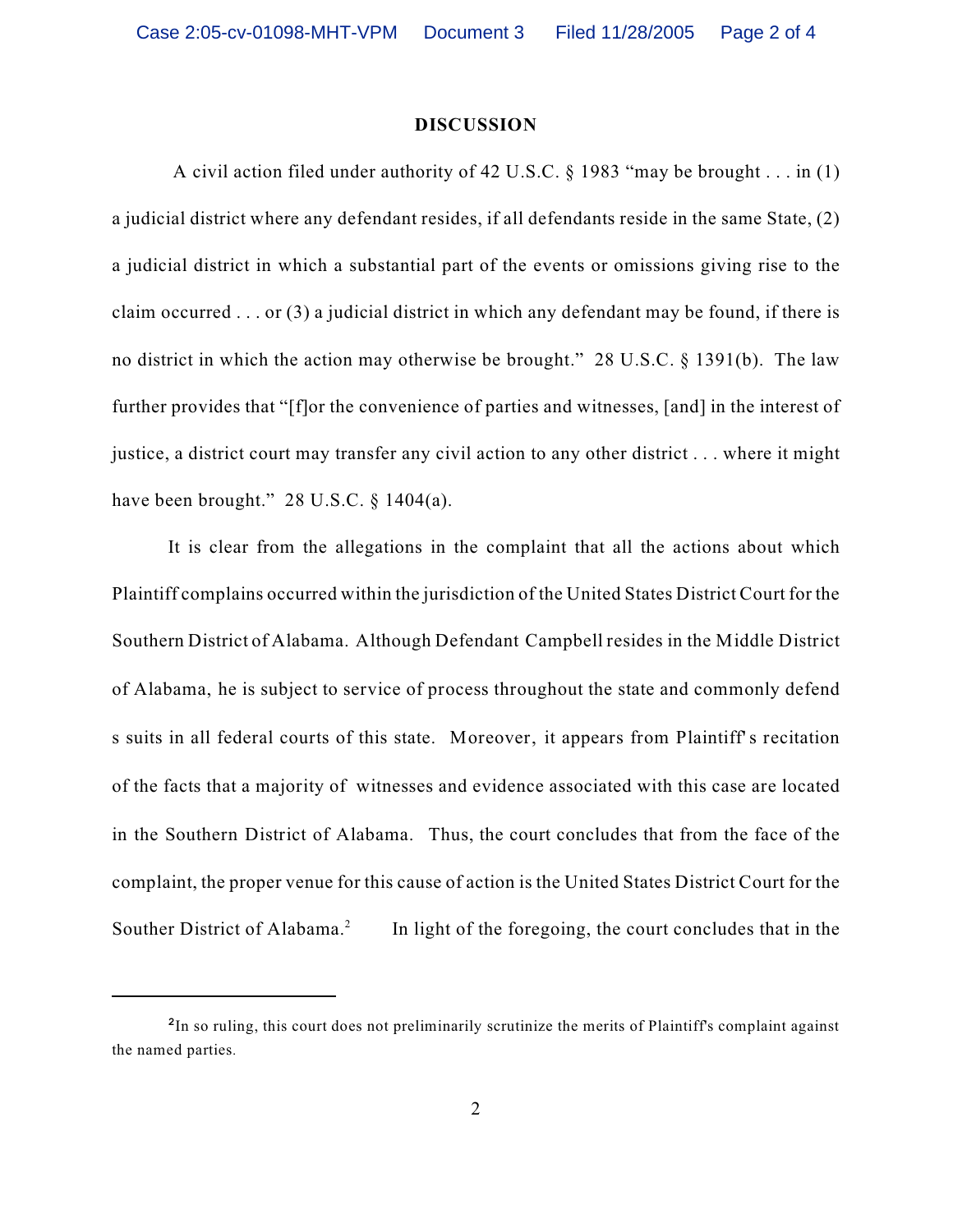## **DISCUSSION**

 A civil action filed under authority of 42 U.S.C. § 1983 "may be brought . . . in (1) a judicial district where any defendant resides, if all defendants reside in the same State, (2) a judicial district in which a substantial part of the events or omissions giving rise to the claim occurred . . . or (3) a judicial district in which any defendant may be found, if there is no district in which the action may otherwise be brought." 28 U.S.C. § 1391(b). The law further provides that "[f]or the convenience of parties and witnesses, [and] in the interest of justice, a district court may transfer any civil action to any other district . . . where it might have been brought."  $28$  U.S.C. § 1404(a).

It is clear from the allegations in the complaint that all the actions about which Plaintiff complains occurred within the jurisdiction of the United States District Court for the Southern District of Alabama. Although Defendant Campbell resides in the Middle District of Alabama, he is subject to service of process throughout the state and commonly defend s suits in all federal courts of this state. Moreover, it appears from Plaintiff's recitation of the facts that a majority of witnesses and evidence associated with this case are located in the Southern District of Alabama. Thus, the court concludes that from the face of the complaint, the proper venue for this cause of action is the United States District Court for the Souther District of Alabama.<sup>2</sup> In light of the foregoing, the court concludes that in the

<sup>&</sup>lt;sup>2</sup>In so ruling, this court does not preliminarily scrutinize the merits of Plaintiff's complaint against the named parties.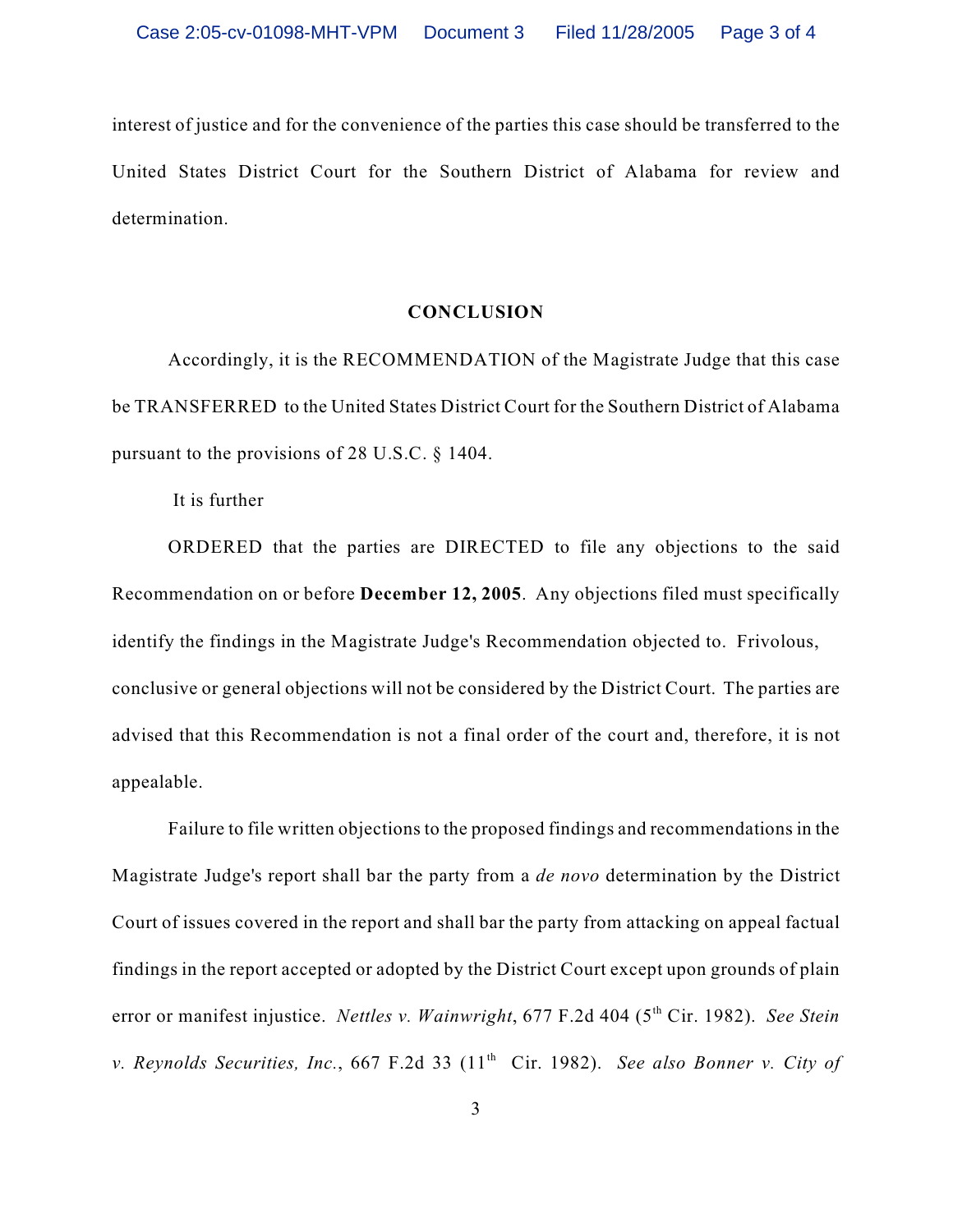interest of justice and for the convenience of the parties this case should be transferred to the United States District Court for the Southern District of Alabama for review and determination.

## **CONCLUSION**

Accordingly, it is the RECOMMENDATION of the Magistrate Judge that this case be TRANSFERRED to the United States District Court for the Southern District of Alabama pursuant to the provisions of 28 U.S.C. § 1404.

It is further

ORDERED that the parties are DIRECTED to file any objections to the said Recommendation on or before **December 12, 2005**. Any objections filed must specifically identify the findings in the Magistrate Judge's Recommendation objected to. Frivolous, conclusive or general objections will not be considered by the District Court. The parties are advised that this Recommendation is not a final order of the court and, therefore, it is not appealable.

Failure to file written objections to the proposed findings and recommendations in the Magistrate Judge's report shall bar the party from a *de novo* determination by the District Court of issues covered in the report and shall bar the party from attacking on appeal factual findings in the report accepted or adopted by the District Court except upon grounds of plain error or manifest injustice. *Nettles v. Wainwright*, 677 F.2d 404 (5<sup>th</sup> Cir. 1982). *See Stein v. Reynolds Securities, Inc., 667 F.2d 33 (11<sup>th</sup> Cir. 1982). See also Bonner v. City of*